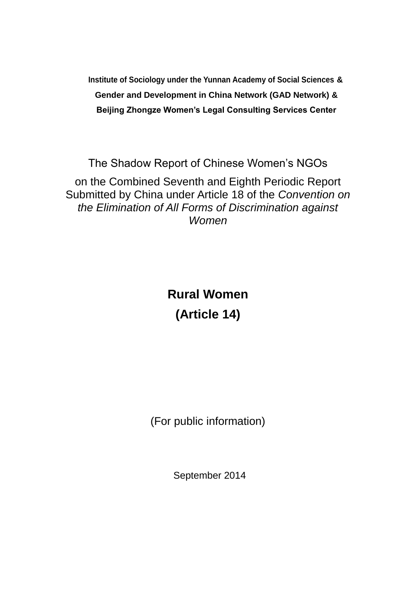**Institute of Sociology under the Yunnan Academy of Social Sciences & Gender and Development in China Network (GAD Network) & Beijing Zhongze Women's Legal Consulting Services Center**

The Shadow Report of Chinese Women's NGOs on the Combined Seventh and Eighth Periodic Report Submitted by China under Article 18 of the *Convention on the Elimination of All Forms of Discrimination against Women*

> **Rural Women (Article 14)**

(For public information)

September 2014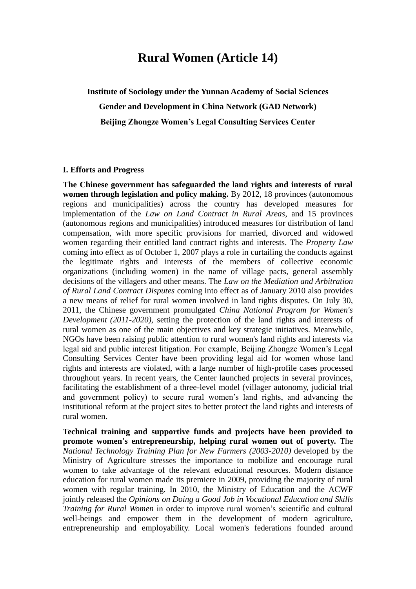## **Rural Women (Article 14)**

**Institute of Sociology under the Yunnan Academy of Social Sciences Gender and Development in China Network (GAD Network) Beijing Zhongze Women's Legal Consulting Services Center**

#### **I. Efforts and Progress**

**The Chinese government has safeguarded the land rights and interests of rural women through legislation and policy making.** By 2012, 18 provinces (autonomous regions and municipalities) across the country has developed measures for implementation of the *Law on Land Contract in Rural Areas*, and 15 provinces (autonomous regions and municipalities) introduced measures for distribution of land compensation, with more specific provisions for married, divorced and widowed women regarding their entitled land contract rights and interests. The *Property Law* coming into effect as of October 1, 2007 plays a role in curtailing the conducts against the legitimate rights and interests of the members of collective economic organizations (including women) in the name of village pacts, general assembly decisions of the villagers and other means. The *Law on the Mediation and Arbitration of Rural Land Contract Disputes* coming into effect as of January 2010 also provides a new means of relief for rural women involved in land rights disputes. On July 30, 2011, the Chinese government promulgated *China National Program for Women's Development (2011-2020)*, setting the protection of the land rights and interests of rural women as one of the main objectives and key strategic initiatives. Meanwhile, NGOs have been raising public attention to rural women's land rights and interests via legal aid and public interest litigation. For example, Beijing Zhongze Women's Legal Consulting Services Center have been providing legal aid for women whose land rights and interests are violated, with a large number of high-profile cases processed throughout years. In recent years, the Center launched projects in several provinces, facilitating the establishment of a three-level model (villager autonomy, judicial trial and government policy) to secure rural women's land rights, and advancing the institutional reform at the project sites to better protect the land rights and interests of rural women.

**Technical training and supportive funds and projects have been provided to promote women's entrepreneurship, helping rural women out of poverty.** The *National Technology Training Plan for New Farmers (2003-2010)* developed by the Ministry of Agriculture stresses the importance to mobilize and encourage rural women to take advantage of the relevant educational resources. Modern distance education for rural women made its premiere in 2009, providing the majority of rural women with regular training. In 2010, the Ministry of Education and the ACWF jointly released the *Opinions on Doing a Good Job in Vocational Education and Skills Training for Rural Women* in order to improve rural women's scientific and cultural well-beings and empower them in the development of modern agriculture, entrepreneurship and employability. Local women's federations founded around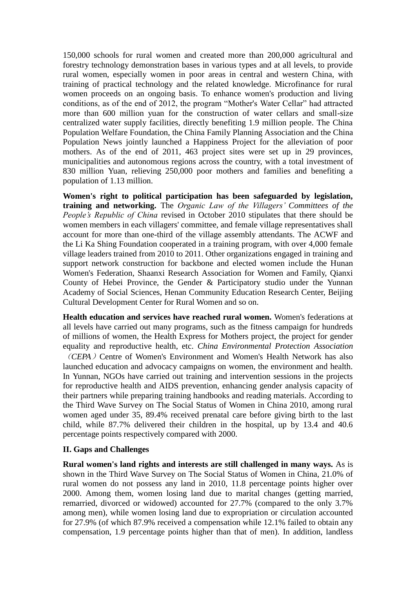150,000 schools for rural women and created more than 200,000 agricultural and forestry technology demonstration bases in various types and at all levels, to provide rural women, especially women in poor areas in central and western China, with training of practical technology and the related knowledge. Microfinance for rural women proceeds on an ongoing basis. To enhance women's production and living conditions, as of the end of 2012, the program "Mother's Water Cellar" had attracted more than 600 million yuan for the construction of water cellars and small-size centralized water supply facilities, directly benefiting 1.9 million people. The China Population Welfare Foundation, the China Family Planning Association and the China Population News jointly launched a Happiness Project for the alleviation of poor mothers. As of the end of 2011, 463 project sites were set up in 29 provinces, municipalities and autonomous regions across the country, with a total investment of 830 million Yuan, relieving 250,000 poor mothers and families and benefiting a population of 1.13 million.

**Women's right to political participation has been safeguarded by legislation, training and networking.** The *Organic Law of the Villagers' Committees of the People's Republic of China* revised in October 2010 stipulates that there should be women members in each villagers' committee, and female village representatives shall account for more than one-third of the village assembly attendants. The ACWF and the Li Ka Shing Foundation cooperated in a training program, with over 4,000 female village leaders trained from 2010 to 2011. Other organizations engaged in training and support network construction for backbone and elected women include the Hunan Women's Federation, Shaanxi Research Association for Women and Family, Qianxi County of Hebei Province, the Gender & Participatory studio under the Yunnan Academy of Social Sciences, Henan Community Education Research Center, Beijing Cultural Development Center for Rural Women and so on.

**Health education and services have reached rural women.** Women's federations at all levels have carried out many programs, such as the fitness campaign for hundreds of millions of women, the Health Express for Mothers project, the project for gender equality and reproductive health, etc. *China Environmental Protection Association*  (*CEPA*) Centre of Women's Environment and Women's Health Network has also launched education and advocacy campaigns on women, the environment and health. In Yunnan, NGOs have carried out training and intervention sessions in the projects for reproductive health and AIDS prevention, enhancing gender analysis capacity of their partners while preparing training handbooks and reading materials. According to the Third Wave Survey on The Social Status of Women in China 2010, among rural women aged under 35, 89.4% received prenatal care before giving birth to the last child, while 87.7% delivered their children in the hospital, up by 13.4 and 40.6 percentage points respectively compared with 2000.

### **II. Gaps and Challenges**

**Rural women's land rights and interests are still challenged in many ways.** As is shown in the Third Wave Survey on The Social Status of Women in China, 21.0% of rural women do not possess any land in 2010, 11.8 percentage points higher over 2000. Among them, women losing land due to marital changes (getting married, remarried, divorced or widowed) accounted for 27.7% (compared to the only 3.7% among men), while women losing land due to expropriation or circulation accounted for 27.9% (of which 87.9% received a compensation while 12.1% failed to obtain any compensation, 1.9 percentage points higher than that of men). In addition, landless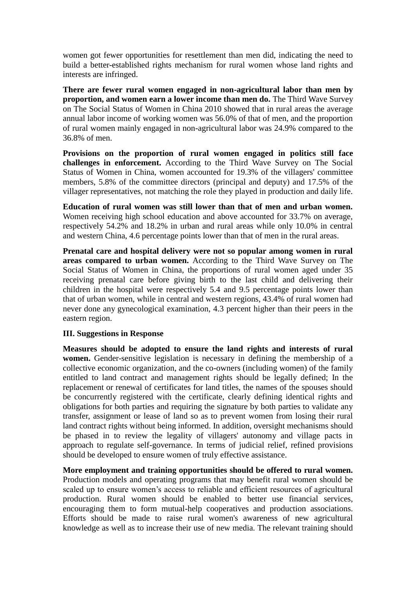women got fewer opportunities for resettlement than men did, indicating the need to build a better-established rights mechanism for rural women whose land rights and interests are infringed.

**There are fewer rural women engaged in non-agricultural labor than men by proportion, and women earn a lower income than men do.** The Third Wave Survey on The Social Status of Women in China 2010 showed that in rural areas the average annual labor income of working women was 56.0% of that of men, and the proportion of rural women mainly engaged in non-agricultural labor was 24.9% compared to the 36.8% of men.

**Provisions on the proportion of rural women engaged in politics still face challenges in enforcement.** According to the Third Wave Survey on The Social Status of Women in China, women accounted for 19.3% of the villagers' committee members, 5.8% of the committee directors (principal and deputy) and 17.5% of the villager representatives, not matching the role they played in production and daily life.

**Education of rural women was still lower than that of men and urban women.** Women receiving high school education and above accounted for 33.7% on average, respectively 54.2% and 18.2% in urban and rural areas while only 10.0% in central and western China, 4.6 percentage points lower than that of men in the rural areas.

**Prenatal care and hospital delivery were not so popular among women in rural areas compared to urban women.** According to the Third Wave Survey on The Social Status of Women in China, the proportions of rural women aged under 35 receiving prenatal care before giving birth to the last child and delivering their children in the hospital were respectively 5.4 and 9.5 percentage points lower than that of urban women, while in central and western regions, 43.4% of rural women had never done any gynecological examination, 4.3 percent higher than their peers in the eastern region.

### **III. Suggestions in Response**

**Measures should be adopted to ensure the land rights and interests of rural women.** Gender-sensitive legislation is necessary in defining the membership of a collective economic organization, and the co-owners (including women) of the family entitled to land contract and management rights should be legally defined; In the replacement or renewal of certificates for land titles, the names of the spouses should be concurrently registered with the certificate, clearly defining identical rights and obligations for both parties and requiring the signature by both parties to validate any transfer, assignment or lease of land so as to prevent women from losing their rural land contract rights without being informed. In addition, oversight mechanisms should be phased in to review the legality of villagers' autonomy and village pacts in approach to regulate self-governance. In terms of judicial relief, refined provisions should be developed to ensure women of truly effective assistance.

**More employment and training opportunities should be offered to rural women.** Production models and operating programs that may benefit rural women should be scaled up to ensure women's access to reliable and efficient resources of agricultural production. Rural women should be enabled to better use financial services, encouraging them to form mutual-help cooperatives and production associations. Efforts should be made to raise rural women's awareness of new agricultural knowledge as well as to increase their use of new media. The relevant training should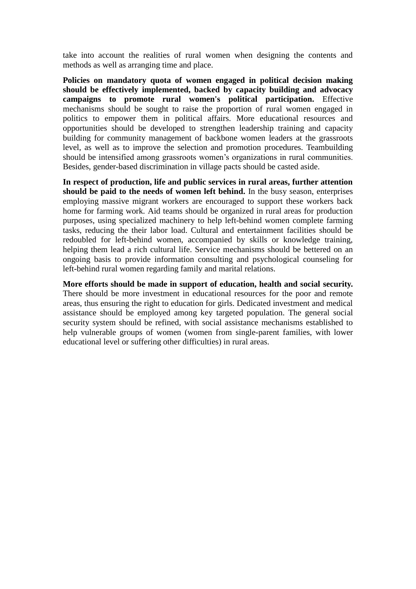take into account the realities of rural women when designing the contents and methods as well as arranging time and place.

**Policies on mandatory quota of women engaged in political decision making should be effectively implemented, backed by capacity building and advocacy campaigns to promote rural women's political participation.** Effective mechanisms should be sought to raise the proportion of rural women engaged in politics to empower them in political affairs. More educational resources and opportunities should be developed to strengthen leadership training and capacity building for community management of backbone women leaders at the grassroots level, as well as to improve the selection and promotion procedures. Teambuilding should be intensified among grassroots women's organizations in rural communities. Besides, gender-based discrimination in village pacts should be casted aside.

**In respect of production, life and public services in rural areas, further attention should be paid to the needs of women left behind.** In the busy season, enterprises employing massive migrant workers are encouraged to support these workers back home for farming work. Aid teams should be organized in rural areas for production purposes, using specialized machinery to help left-behind women complete farming tasks, reducing the their labor load. Cultural and entertainment facilities should be redoubled for left-behind women, accompanied by skills or knowledge training, helping them lead a rich cultural life. Service mechanisms should be bettered on an ongoing basis to provide information consulting and psychological counseling for left-behind rural women regarding family and marital relations.

**More efforts should be made in support of education, health and social security.** There should be more investment in educational resources for the poor and remote areas, thus ensuring the right to education for girls. Dedicated investment and medical assistance should be employed among key targeted population. The general social security system should be refined, with social assistance mechanisms established to help vulnerable groups of women (women from single-parent families, with lower educational level or suffering other difficulties) in rural areas.